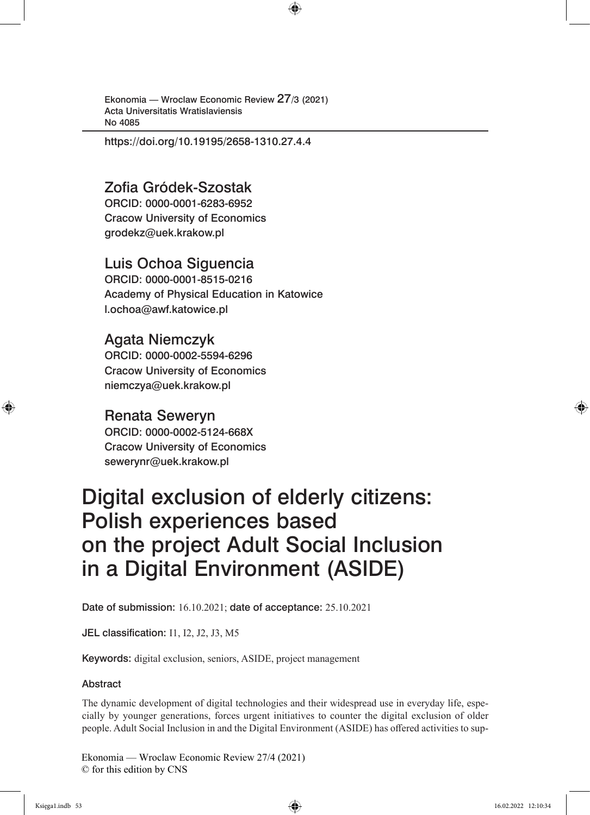Ekonomia — Wroclaw Economic Review 27/3 (2021) Acta Universitatis Wratislaviensis No 4085

https://doi.org/10.19195/2658-1310.27.4.4

#### Zofia Gródek-Szostak

ORCID: 0000-0001-6283-6952 Cracow University of Economics grodekz@uek.krakow.pl

#### Luis Ochoa Siguencia

ORCID: 0000-0001-8515-0216 Academy of Physical Education in Katowice l.ochoa@awf.katowice.pl

#### Agata Niemczyk

ORCID: 0000-0002-5594-6296 Cracow University of Economics niemczya@uek.krakow.pl

#### Renata Seweryn

ORCID: 0000-0002-5124-668X Cracow University of Economics sewerynr@uek.krakow.pl

# Digital exclusion of elderly citizens: Polish experiences based on the project Adult Social Inclusion in a Digital Environment (ASIDE)

Date of submission: 16.10.2021; date of acceptance: 25.10.2021

JEL classification: I1, I2, J2, J3, M5

Keywords: digital exclusion, seniors, ASIDE, project management

#### Abstract

The dynamic development of digital technologies and their widespread use in everyday life, especially by younger generations, forces urgent initiatives to counter the digital exclusion of older people. Adult Social Inclusion in and the Digital Environment (ASIDE) has offered activities to sup-

Ekonomia — Wroclaw Economic Review 27/4 (2021) © for this edition by CNS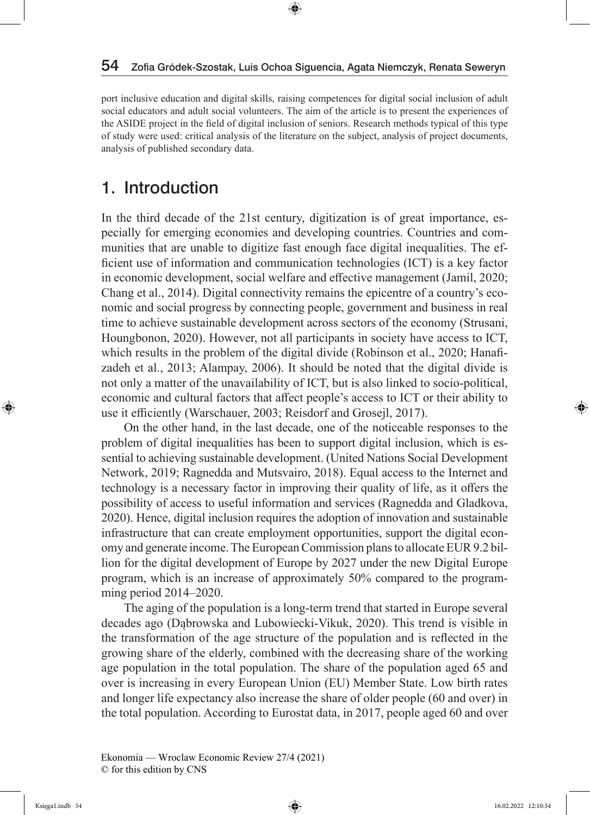port inclusive education and digital skills, raising competences for digital social inclusion of adult social educators and adult social volunteers. The aim of the article is to present the experiences of the ASIDE project in the field of digital inclusion of seniors. Research methods typical of this type of study were used: critical analysis of the literature on the subject, analysis of project documents, analysis of published secondary data.

### 1. Introduction

In the third decade of the 21st century, digitization is of great importance, especially for emerging economies and developing countries. Countries and communities that are unable to digitize fast enough face digital inequalities. The efficient use of information and communication technologies (ICT) is a key factor in economic development, social welfare and effective management (Jamil, 2020; Chang et al., 2014). Digital connectivity remains the epicentre of a country's economic and social progress by connecting people, government and business in real time to achieve sustainable development across sectors of the economy (Strusani, Houngbonon, 2020). However, not all participants in society have access to ICT, which results in the problem of the digital divide (Robinson et al., 2020; Hanafizadeh et al., 2013; Alampay, 2006). It should be noted that the digital divide is not only a matter of the unavailability of ICT, but is also linked to socio-political, economic and cultural factors that affect people's access to ICT or their ability to use it efficiently (Warschauer, 2003; Reisdorf and Grosejl, 2017).

On the other hand, in the last decade, one of the noticeable responses to the problem of digital inequalities has been to support digital inclusion, which is essential to achieving sustainable development. (United Nations Social Development Network, 2019; Ragnedda and Mutsvairo, 2018). Equal access to the Internet and technology is a necessary factor in improving their quality of life, as it offers the possibility of access to useful information and services (Ragnedda and Gladkova, 2020). Hence, digital inclusion requires the adoption of innovation and sustainable infrastructure that can create employment opportunities, support the digital economy and generate income. The European Commission plans to allocate EUR 9.2 billion for the digital development of Europe by 2027 under the new Digital Europe program, which is an increase of approximately 50% compared to the programming period 2014–2020.

The aging of the population is a long-term trend that started in Europe several decades ago (Dąbrowska and Lubowiecki-Vikuk, 2020). This trend is visible in the transformation of the age structure of the population and is reflected in the growing share of the elderly, combined with the decreasing share of the working age population in the total population. The share of the population aged 65 and over is increasing in every European Union (EU) Member State. Low birth rates and longer life expectancy also increase the share of older people (60 and over) in the total population. According to Eurostat data, in 2017, people aged 60 and over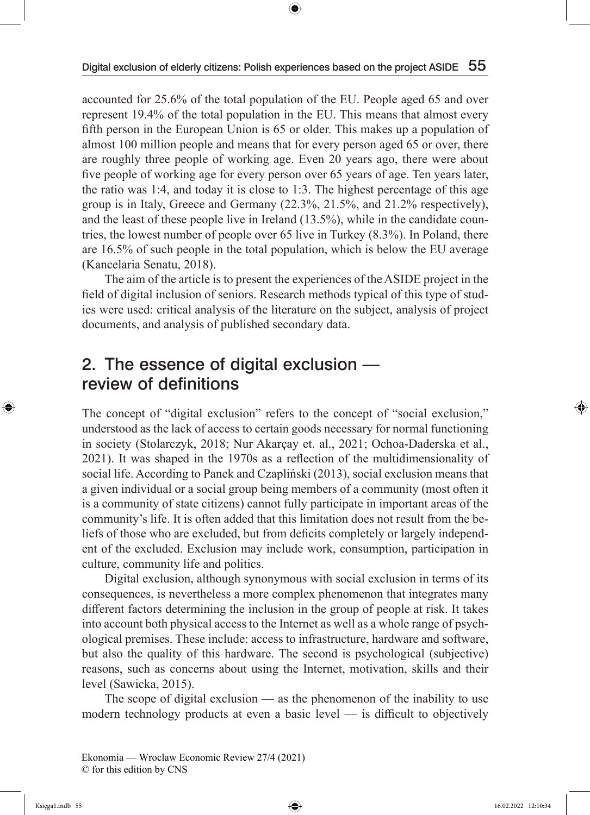accounted for 25.6% of the total population of the EU. People aged 65 and over represent 19.4% of the total population in the EU. This means that almost every fifth person in the European Union is 65 or older. This makes up a population of almost 100 million people and means that for every person aged 65 or over, there are roughly three people of working age. Even 20 years ago, there were about five people of working age for every person over 65 years of age. Ten years later, the ratio was 1:4, and today it is close to 1:3. The highest percentage of this age group is in Italy, Greece and Germany (22.3%, 21.5%, and 21.2% respectively), and the least of these people live in Ireland (13.5%), while in the candidate countries, the lowest number of people over 65 live in Turkey (8.3%). In Poland, there are 16.5% of such people in the total population, which is below the EU average (Kancelaria Senatu, 2018).

The aim of the article is to present the experiences of the ASIDE project in the field of digital inclusion of seniors. Research methods typical of this type of studies were used: critical analysis of the literature on the subject, analysis of project documents, and analysis of published secondary data.

# 2. The essence of digital exclusion review of definitions

The concept of "digital exclusion" refers to the concept of "social exclusion," understood as the lack of access to certain goods necessary for normal functioning in society (Stolarczyk, 2018; Nur Akarçay et. al., 2021; Ochoa-Daderska et al., 2021). It was shaped in the 1970s as a reflection of the multidimensionality of social life. According to Panek and Czapliński (2013), social exclusion means that a given individual or a social group being members of a community (most often it is a community of state citizens) cannot fully participate in important areas of the community's life. It is often added that this limitation does not result from the beliefs of those who are excluded, but from deficits completely or largely independent of the excluded. Exclusion may include work, consumption, participation in culture, community life and politics.

Digital exclusion, although synonymous with social exclusion in terms of its consequences, is nevertheless a more complex phenomenon that integrates many different factors determining the inclusion in the group of people at risk. It takes into account both physical access to the Internet as well as a whole range of psychological premises. These include: access to infrastructure, hardware and software, but also the quality of this hardware. The second is psychological (subjective) reasons, such as concerns about using the Internet, motivation, skills and their level (Sawicka, 2015).

The scope of digital exclusion — as the phenomenon of the inability to use modern technology products at even a basic level — is difficult to objectively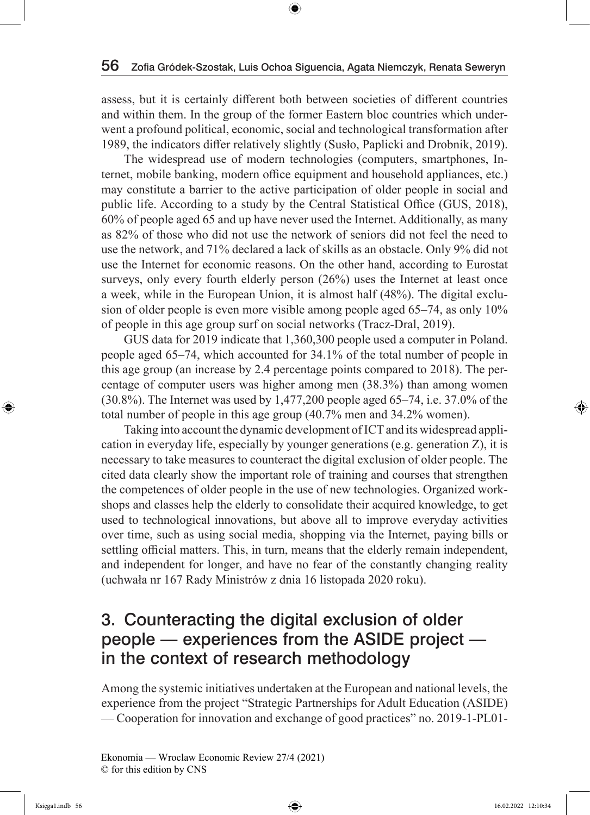assess, but it is certainly different both between societies of different countries and within them. In the group of the former Eastern bloc countries which underwent a profound political, economic, social and technological transformation after 1989, the indicators differ relatively slightly (Susło, Paplicki and Drobnik, 2019).

The widespread use of modern technologies (computers, smartphones, Internet, mobile banking, modern office equipment and household appliances, etc.) may constitute a barrier to the active participation of older people in social and public life. According to a study by the Central Statistical Office (GUS, 2018), 60% of people aged 65 and up have never used the Internet. Additionally, as many as 82% of those who did not use the network of seniors did not feel the need to use the network, and 71% declared a lack of skills as an obstacle. Only 9% did not use the Internet for economic reasons. On the other hand, according to Eurostat surveys, only every fourth elderly person (26%) uses the Internet at least once a week, while in the European Union, it is almost half (48%). The digital exclusion of older people is even more visible among people aged 65–74, as only 10% of people in this age group surf on social networks (Tracz-Dral, 2019).

GUS data for 2019 indicate that 1,360,300 people used a computer in Poland. people aged 65–74, which accounted for 34.1% of the total number of people in this age group (an increase by 2.4 percentage points compared to 2018). The percentage of computer users was higher among men (38.3%) than among women (30.8%). The Internet was used by 1,477,200 people aged 65–74, i.e. 37.0% of the total number of people in this age group (40.7% men and 34.2% women).

Taking into account the dynamic development of ICT and its widespread application in everyday life, especially by younger generations (e.g. generation Z), it is necessary to take measures to counteract the digital exclusion of older people. The cited data clearly show the important role of training and courses that strengthen the competences of older people in the use of new technologies. Organized workshops and classes help the elderly to consolidate their acquired knowledge, to get used to technological innovations, but above all to improve everyday activities over time, such as using social media, shopping via the Internet, paying bills or settling official matters. This, in turn, means that the elderly remain independent, and independent for longer, and have no fear of the constantly changing reality (uchwała nr 167 Rady Ministrów z dnia 16 listopada 2020 roku).

# 3. Counteracting the digital exclusion of older people — experiences from the ASIDE project in the context of research methodology

Among the systemic initiatives undertaken at the European and national levels, the experience from the project "Strategic Partnerships for Adult Education (ASIDE) — Cooperation for innovation and exchange of good practices" no. 2019-1-PL01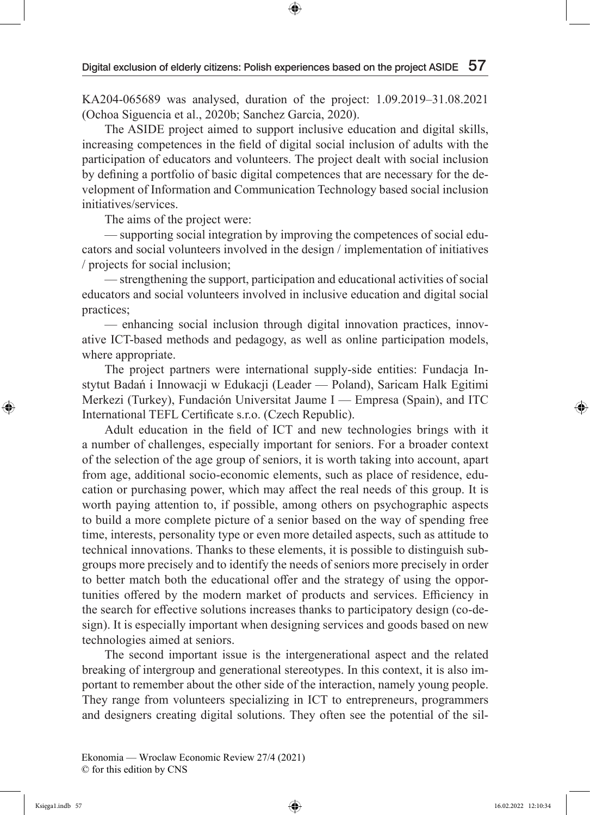KA204-065689 was analysed, duration of the project: 1.09.2019–31.08.2021 (Ochoa Siguencia et al., 2020b; Sanchez Garcia, 2020).

The ASIDE project aimed to support inclusive education and digital skills, increasing competences in the field of digital social inclusion of adults with the participation of educators and volunteers. The project dealt with social inclusion by defining a portfolio of basic digital competences that are necessary for the development of Information and Communication Technology based social inclusion initiatives/services.

The aims of the project were:

— supporting social integration by improving the competences of social educators and social volunteers involved in the design / implementation of initiatives / projects for social inclusion;

— strengthening the support, participation and educational activities of social educators and social volunteers involved in inclusive education and digital social practices;

— enhancing social inclusion through digital innovation practices, innovative ICT-based methods and pedagogy, as well as online participation models, where appropriate.

The project partners were international supply-side entities: Fundacja Instytut Badań i Innowacji w Edukacji (Leader — Poland), Saricam Halk Egitimi Merkezi (Turkey), Fundación Universitat Jaume I — Empresa (Spain), and ITC International TEFL Certificate s.r.o. (Czech Republic).

Adult education in the field of ICT and new technologies brings with it a number of challenges, especially important for seniors. For a broader context of the selection of the age group of seniors, it is worth taking into account, apart from age, additional socio-economic elements, such as place of residence, education or purchasing power, which may affect the real needs of this group. It is worth paying attention to, if possible, among others on psychographic aspects to build a more complete picture of a senior based on the way of spending free time, interests, personality type or even more detailed aspects, such as attitude to technical innovations. Thanks to these elements, it is possible to distinguish subgroups more precisely and to identify the needs of seniors more precisely in order to better match both the educational offer and the strategy of using the opportunities offered by the modern market of products and services. Efficiency in the search for effective solutions increases thanks to participatory design (co-design). It is especially important when designing services and goods based on new technologies aimed at seniors.

The second important issue is the intergenerational aspect and the related breaking of intergroup and generational stereotypes. In this context, it is also important to remember about the other side of the interaction, namely young people. They range from volunteers specializing in ICT to entrepreneurs, programmers and designers creating digital solutions. They often see the potential of the sil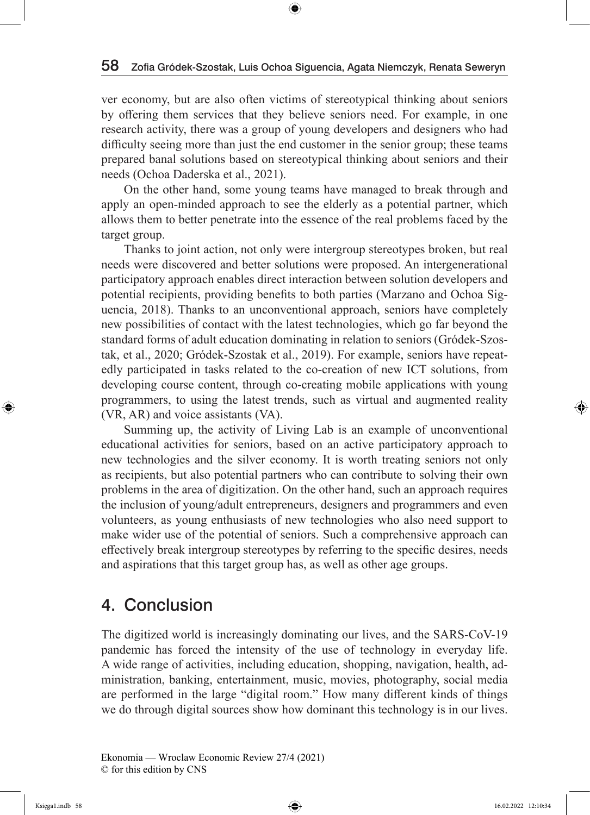ver economy, but are also often victims of stereotypical thinking about seniors by offering them services that they believe seniors need. For example, in one research activity, there was a group of young developers and designers who had difficulty seeing more than just the end customer in the senior group; these teams prepared banal solutions based on stereotypical thinking about seniors and their needs (Ochoa Daderska et al., 2021).

On the other hand, some young teams have managed to break through and apply an open-minded approach to see the elderly as a potential partner, which allows them to better penetrate into the essence of the real problems faced by the target group.

Thanks to joint action, not only were intergroup stereotypes broken, but real needs were discovered and better solutions were proposed. An intergenerational participatory approach enables direct interaction between solution developers and potential recipients, providing benefits to both parties (Marzano and Ochoa Siguencia, 2018). Thanks to an unconventional approach, seniors have completely new possibilities of contact with the latest technologies, which go far beyond the standard forms of adult education dominating in relation to seniors (Gródek-Szostak, et al., 2020; Gródek-Szostak et al., 2019). For example, seniors have repeatedly participated in tasks related to the co-creation of new ICT solutions, from developing course content, through co-creating mobile applications with young programmers, to using the latest trends, such as virtual and augmented reality (VR, AR) and voice assistants (VA).

Summing up, the activity of Living Lab is an example of unconventional educational activities for seniors, based on an active participatory approach to new technologies and the silver economy. It is worth treating seniors not only as recipients, but also potential partners who can contribute to solving their own problems in the area of digitization. On the other hand, such an approach requires the inclusion of young/adult entrepreneurs, designers and programmers and even volunteers, as young enthusiasts of new technologies who also need support to make wider use of the potential of seniors. Such a comprehensive approach can effectively break intergroup stereotypes by referring to the specific desires, needs and aspirations that this target group has, as well as other age groups.

# 4. Conclusion

The digitized world is increasingly dominating our lives, and the SARS-CoV-19 pandemic has forced the intensity of the use of technology in everyday life. A wide range of activities, including education, shopping, navigation, health, administration, banking, entertainment, music, movies, photography, social media are performed in the large "digital room." How many different kinds of things we do through digital sources show how dominant this technology is in our lives.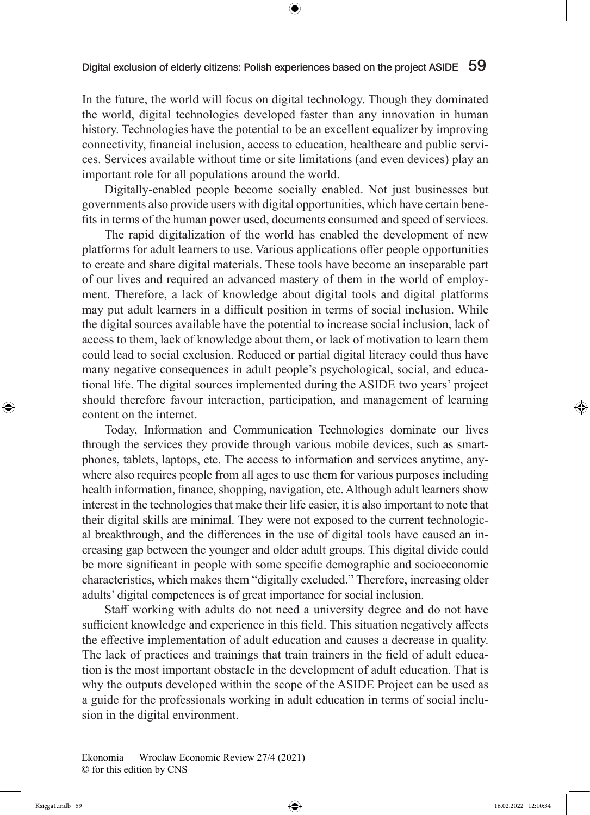In the future, the world will focus on digital technology. Though they dominated the world, digital technologies developed faster than any innovation in human history. Technologies have the potential to be an excellent equalizer by improving connectivity, financial inclusion, access to education, healthcare and public services. Services available without time or site limitations (and even devices) play an important role for all populations around the world.

Digitally-enabled people become socially enabled. Not just businesses but governments also provide users with digital opportunities, which have certain benefits in terms of the human power used, documents consumed and speed of services.

The rapid digitalization of the world has enabled the development of new platforms for adult learners to use. Various applications offer people opportunities to create and share digital materials. These tools have become an inseparable part of our lives and required an advanced mastery of them in the world of employment. Therefore, a lack of knowledge about digital tools and digital platforms may put adult learners in a difficult position in terms of social inclusion. While the digital sources available have the potential to increase social inclusion, lack of access to them, lack of knowledge about them, or lack of motivation to learn them could lead to social exclusion. Reduced or partial digital literacy could thus have many negative consequences in adult people's psychological, social, and educational life. The digital sources implemented during the ASIDE two years' project should therefore favour interaction, participation, and management of learning content on the internet.

Today, Information and Communication Technologies dominate our lives through the services they provide through various mobile devices, such as smartphones, tablets, laptops, etc. The access to information and services anytime, anywhere also requires people from all ages to use them for various purposes including health information, finance, shopping, navigation, etc. Although adult learners show interest in the technologies that make their life easier, it is also important to note that their digital skills are minimal. They were not exposed to the current technological breakthrough, and the differences in the use of digital tools have caused an increasing gap between the younger and older adult groups. This digital divide could be more significant in people with some specific demographic and socioeconomic characteristics, which makes them "digitally excluded." Therefore, increasing older adults' digital competences is of great importance for social inclusion.

Staff working with adults do not need a university degree and do not have sufficient knowledge and experience in this field. This situation negatively affects the effective implementation of adult education and causes a decrease in quality. The lack of practices and trainings that train trainers in the field of adult education is the most important obstacle in the development of adult education. That is why the outputs developed within the scope of the ASIDE Project can be used as a guide for the professionals working in adult education in terms of social inclusion in the digital environment.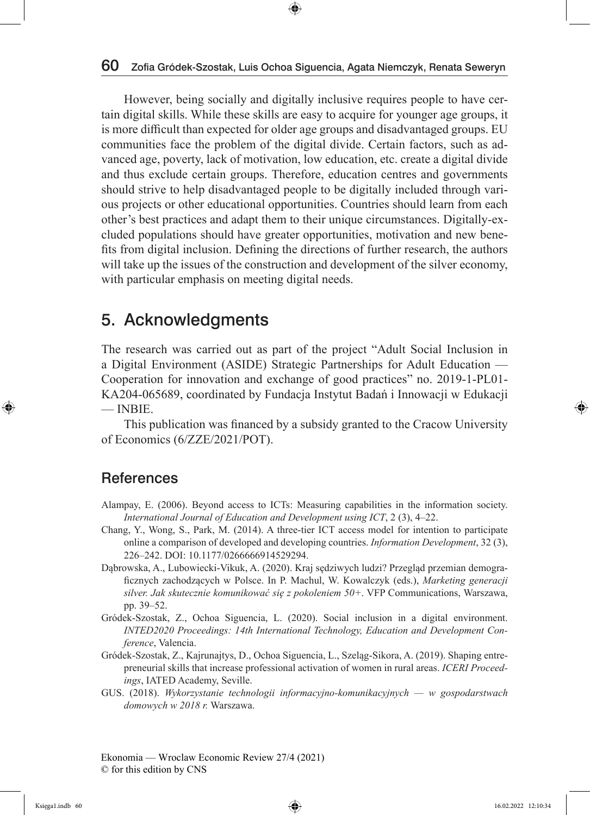However, being socially and digitally inclusive requires people to have certain digital skills. While these skills are easy to acquire for younger age groups, it is more difficult than expected for older age groups and disadvantaged groups. EU communities face the problem of the digital divide. Certain factors, such as advanced age, poverty, lack of motivation, low education, etc. create a digital divide and thus exclude certain groups. Therefore, education centres and governments should strive to help disadvantaged people to be digitally included through various projects or other educational opportunities. Countries should learn from each other's best practices and adapt them to their unique circumstances. Digitally-excluded populations should have greater opportunities, motivation and new benefits from digital inclusion. Defining the directions of further research, the authors will take up the issues of the construction and development of the silver economy, with particular emphasis on meeting digital needs.

## 5. Acknowledgments

The research was carried out as part of the project "Adult Social Inclusion in a Digital Environment (ASIDE) Strategic Partnerships for Adult Education — Cooperation for innovation and exchange of good practices" no. 2019-1-PL01- KA204-065689, coordinated by Fundacja Instytut Badań i Innowacji w Edukacji — INBIE.

This publication was financed by a subsidy granted to the Cracow University of Economics (6/ZZE/2021/POT).

#### **References**

- Alampay, E. (2006). Beyond access to ICTs: Measuring capabilities in the information society. *International Journal of Education and Development using ICT*, 2 (3), 4–22.
- Chang, Y., Wong, S., Park, M. (2014). A three-tier ICT access model for intention to participate online a comparison of developed and developing countries. *Information Development*, 32 (3), 226–242. DOI: 10.1177/0266666914529294.
- Dąbrowska, A., Lubowiecki-Vikuk, A. (2020). Kraj sędziwych ludzi? Przegląd przemian demograficznych zachodzących w Polsce. In P. Machul, W. Kowalczyk (eds.), *Marketing generacji silver. Jak skutecznie komunikować się z pokoleniem 50+*. VFP Communications, Warszawa, pp. 39–52.
- Gródek-Szostak, Z., Ochoa Siguencia, L. (2020). Social inclusion in a digital environment. *INTED2020 Proceedings: 14th International Technology, Education and Development Conference*, Valencia.
- Gródek-Szostak, Z., Kajrunajtys, D., Ochoa Siguencia, L., Szeląg-Sikora, A. (2019). Shaping entrepreneurial skills that increase professional activation of women in rural areas. *ICERI Proceedings*, IATED Academy, Seville.
- GUS. (2018). *Wykorzystanie technologii informacyjno-komunikacyjnych w gospodarstwach domowych w 2018 r.* Warszawa.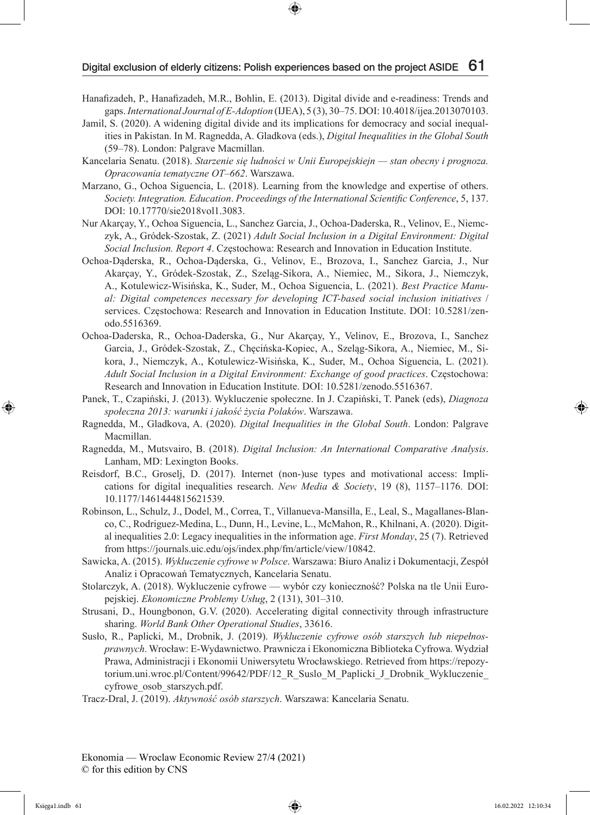- Hanafizadeh, P., Hanafizadeh, M.R., Bohlin, E. (2013). Digital divide and e-readiness: Trends and gaps. *International Journal of E-Adoption* (IJEA), 5 (3), 30–75. DOI: 10.4018/ijea.2013070103.
- Jamil, S. (2020). A widening digital divide and its implications for democracy and social inequalities in Pakistan. In M. Ragnedda, A. Gladkova (eds.), *Digital Inequalities in the Global South* (59–78). London: Palgrave Macmillan.
- Kancelaria Senatu. (2018). *Starzenie się ludności w Unii Europejskiejn stan obecny i prognoza. Opracowania tematyczne OT–662*. Warszawa.
- Marzano, G., Ochoa Siguencia, L. (2018). Learning from the knowledge and expertise of others. *Society. Integration. Education*. *Proceedings of the International Scientific Conference*, 5, 137. DOI: 10.17770/sie2018vol1.3083.
- Nur Akarçay, Y., Ochoa Siguencia, L., Sanchez Garcia, J., Ochoa-Daderska, R., Velinov, E., Niemczyk, A., Gródek-Szostak, Z. (2021) *Adult Social Inclusion in a Digital Environment: Digital Social Inclusion. Report 4*. Częstochowa: Research and Innovation in Education Institute.
- Ochoa-Dąderska, R., Ochoa-Dąderska, G., Velinov, E., Brozova, I., Sanchez Garcia, J., Nur Akarçay, Y., Gródek-Szostak, Z., Szeląg-Sikora, A., Niemiec, M., Sikora, J., Niemczyk, A., Kotulewicz-Wisińska, K., Suder, M., Ochoa Siguencia, L. (2021). *Best Practice Manual: Digital competences necessary for developing ICT-based social inclusion initiatives* / services. Częstochowa: Research and Innovation in Education Institute. DOI: 10.5281/zenodo.5516369.
- Ochoa-Daderska, R., Ochoa-Daderska, G., Nur Akarçay, Y., Velinov, E., Brozova, I., Sanchez Garcia, J., Gródek-Szostak, Z., Chęcińska-Kopiec, A., Szeląg-Sikora, A., Niemiec, M., Sikora, J., Niemczyk, A., Kotulewicz-Wisińska, K., Suder, M., Ochoa Siguencia, L. (2021). *Adult Social Inclusion in a Digital Environment: Exchange of good practices*. Częstochowa: Research and Innovation in Education Institute. DOI: 10.5281/zenodo.5516367.
- Panek, T., Czapiński, J. (2013). Wykluczenie społeczne. In J. Czapiński, T. Panek (eds), *Diagnoza społeczna 2013: warunki i jakość życia Polaków*. Warszawa.
- Ragnedda, M., Gladkova, A. (2020). *Digital Inequalities in the Global South*. London: Palgrave Macmillan.
- Ragnedda, M., Mutsvairo, B. (2018). *Digital Inclusion: An International Comparative Analysis*. Lanham, MD: Lexington Books.
- Reisdorf, B.C., Groselj, D. (2017). Internet (non-)use types and motivational access: Implications for digital inequalities research. *New Media & Society*, 19 (8), 1157–1176. DOI: 10.1177/1461444815621539.
- Robinson, L., Schulz, J., Dodel, M., Correa, T., Villanueva-Mansilla, E., Leal, S., Magallanes-Blanco, C., Rodriguez-Medina, L., Dunn, H., Levine, L., McMahon, R., Khilnani, A. (2020). Digital inequalities 2.0: Legacy inequalities in the information age. *First Monday*, 25 (7). Retrieved from https://journals.uic.edu/ojs/index.php/fm/article/view/10842.
- Sawicka, A. (2015). *Wykluczenie cyfrowe w Polsce*. Warszawa: Biuro Analiz i Dokumentacji, Zespół Analiz i Opracowań Tematycznych, Kancelaria Senatu.
- Stolarczyk, A. (2018). Wykluczenie cyfrowe wybór czy konieczność? Polska na tle Unii Europejskiej. *Ekonomiczne Problemy Usług*, 2 (131), 301–310.
- Strusani, D., Houngbonon, G.V. (2020). Accelerating digital connectivity through infrastructure sharing. *World Bank Other Operational Studies*, 33616.
- Susło, R., Paplicki, M., Drobnik, J. (2019). *Wykluczenie cyfrowe osób starszych lub niepełnosprawnych*. Wrocław: E-Wydawnictwo. Prawnicza i Ekonomiczna Biblioteka Cyfrowa. Wydział Prawa, Administracji i Ekonomii Uniwersytetu Wrocławskiego. Retrieved from https://repozytorium.uni.wroc.pl/Content/99642/PDF/12\_R\_Suslo\_M\_Paplicki\_J\_Drobnik\_Wykluczenie\_ cyfrowe\_osob\_starszych.pdf.
- Tracz-Dral, J. (2019). *Aktywność osób starszych*. Warszawa: Kancelaria Senatu.